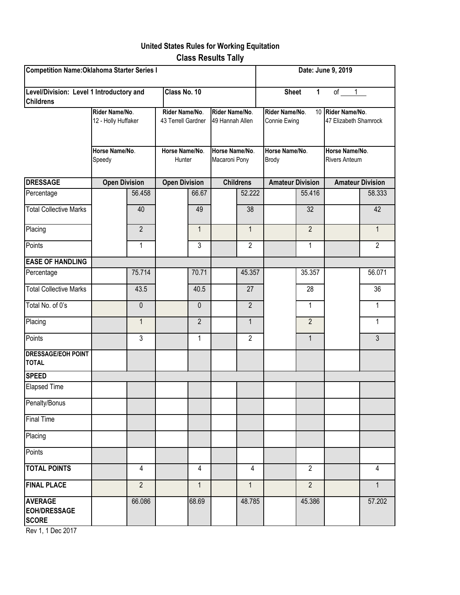## **United States Rules for Working Equitation Class Results Tally**

| Competition Name: Oklahoma Starter Series I                  |                                                                   |                |                                                                  |                |                                                                      |                | Date: June 9, 2019                                               |                |                                                                                      |                |
|--------------------------------------------------------------|-------------------------------------------------------------------|----------------|------------------------------------------------------------------|----------------|----------------------------------------------------------------------|----------------|------------------------------------------------------------------|----------------|--------------------------------------------------------------------------------------|----------------|
| Level/Division: Level 1 Introductory and<br><b>Childrens</b> |                                                                   |                | Class No. 10                                                     |                |                                                                      |                | <b>Sheet</b>                                                     | $\mathbf{1}$   | of<br>1                                                                              |                |
|                                                              | Rider Name/No.<br>12 - Holly Huffaker<br>Horse Name/No.<br>Speedy |                | Rider Name/No.<br>43 Terrell Gardner<br>Horse Name/No.<br>Hunter |                | Rider Name/No.<br>49 Hannah Allen<br>Horse Name/No.<br>Macaroni Pony |                | Rider Name/No.<br>Connie Ewing<br>Horse Name/No.<br><b>Brody</b> |                | 10 Rider Name/No.<br>47 Elizabeth Shamrock<br>Horse Name/No.<br><b>Rivers Anteum</b> |                |
|                                                              |                                                                   |                |                                                                  |                |                                                                      |                |                                                                  |                |                                                                                      |                |
| <b>DRESSAGE</b>                                              | <b>Open Division</b>                                              |                | <b>Open Division</b>                                             |                | <b>Childrens</b>                                                     |                | <b>Amateur Division</b>                                          |                | <b>Amateur Division</b>                                                              |                |
| Percentage                                                   |                                                                   | 56.458         |                                                                  | 66.67          |                                                                      | 52.222         |                                                                  | 55.416         |                                                                                      | 58.333         |
| <b>Total Collective Marks</b>                                |                                                                   | 40             |                                                                  | 49             |                                                                      | 38             |                                                                  | 32             |                                                                                      | 42             |
| Placing                                                      |                                                                   | $\overline{2}$ |                                                                  | $\mathbf{1}$   |                                                                      | $\mathbf{1}$   |                                                                  | $\overline{2}$ |                                                                                      | $\mathbf{1}$   |
| Points                                                       |                                                                   | 1              |                                                                  | 3              |                                                                      | $\overline{2}$ |                                                                  | $\mathbf{1}$   |                                                                                      | $\overline{2}$ |
| <b>EASE OF HANDLING</b>                                      |                                                                   |                |                                                                  |                |                                                                      |                |                                                                  |                |                                                                                      |                |
| Percentage                                                   |                                                                   | 75.714         |                                                                  | 70.71          |                                                                      | 45.357         |                                                                  | 35.357         |                                                                                      | 56.071         |
| <b>Total Collective Marks</b>                                |                                                                   | 43.5           |                                                                  | 40.5           |                                                                      | 27             |                                                                  | 28             |                                                                                      | 36             |
| Total No. of 0's                                             |                                                                   | $\mathbf 0$    |                                                                  | $\mathbf 0$    |                                                                      | $\overline{2}$ |                                                                  | $\mathbf{1}$   |                                                                                      | $\mathbf{1}$   |
| Placing                                                      |                                                                   | $\mathbf{1}$   |                                                                  | $\overline{2}$ |                                                                      | $\mathbf{1}$   |                                                                  | $\overline{2}$ |                                                                                      | $\mathbf{1}$   |
| Points                                                       |                                                                   | $\mathfrak{Z}$ |                                                                  | 1              |                                                                      | $\overline{2}$ |                                                                  | $\mathbf{1}$   |                                                                                      | $\mathfrak{Z}$ |
| <b>DRESSAGE/EOH POINT</b><br><b>TOTAL</b>                    |                                                                   |                |                                                                  |                |                                                                      |                |                                                                  |                |                                                                                      |                |
| <b>SPEED</b>                                                 |                                                                   |                |                                                                  |                |                                                                      |                |                                                                  |                |                                                                                      |                |
| <b>Elapsed Time</b>                                          |                                                                   |                |                                                                  |                |                                                                      |                |                                                                  |                |                                                                                      |                |
| Penalty/Bonus                                                |                                                                   |                |                                                                  |                |                                                                      |                |                                                                  |                |                                                                                      |                |
| <b>Final Time</b>                                            |                                                                   |                |                                                                  |                |                                                                      |                |                                                                  |                |                                                                                      |                |
| Placing                                                      |                                                                   |                |                                                                  |                |                                                                      |                |                                                                  |                |                                                                                      |                |
| Points                                                       |                                                                   |                |                                                                  |                |                                                                      |                |                                                                  |                |                                                                                      |                |
| <b>TOTAL POINTS</b>                                          |                                                                   | $\overline{4}$ |                                                                  | 4              |                                                                      | $\overline{4}$ |                                                                  | $\overline{2}$ |                                                                                      | $\overline{4}$ |
| <b>FINAL PLACE</b>                                           |                                                                   | $\overline{2}$ |                                                                  | $\mathbf{1}$   |                                                                      | $\mathbf{1}$   |                                                                  | $\overline{2}$ |                                                                                      | $\mathbf{1}$   |
| <b>AVERAGE</b><br><b>EOH/DRESSAGE</b><br><b>SCORE</b>        |                                                                   | 66.086         |                                                                  | 68.69          |                                                                      | 48.785         |                                                                  | 45.386         |                                                                                      | 57.202         |

Rev 1, 1 Dec 2017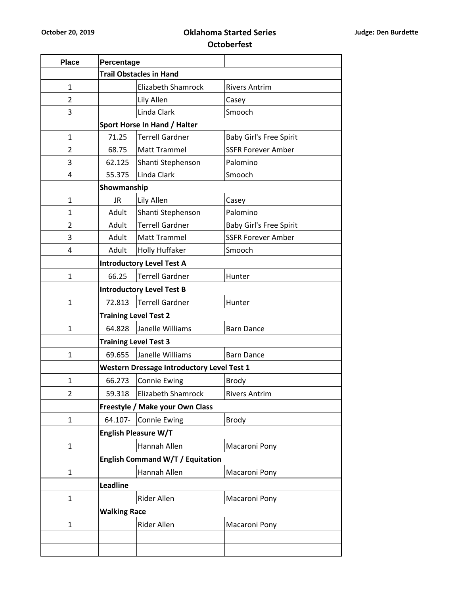## **October 20, 2019 Oklahoma Started Series Octoberfest**

| <b>Place</b>   | Percentage                       |                                                   |                                |  |  |  |  |
|----------------|----------------------------------|---------------------------------------------------|--------------------------------|--|--|--|--|
|                | <b>Trail Obstacles in Hand</b>   |                                                   |                                |  |  |  |  |
| $\mathbf{1}$   |                                  | <b>Elizabeth Shamrock</b>                         | <b>Rivers Antrim</b>           |  |  |  |  |
| 2              |                                  | Lily Allen                                        | Casey                          |  |  |  |  |
| 3              |                                  | Linda Clark                                       | Smooch                         |  |  |  |  |
|                | Sport Horse In Hand / Halter     |                                                   |                                |  |  |  |  |
| $\mathbf{1}$   | 71.25                            | <b>Terrell Gardner</b>                            | <b>Baby Girl's Free Spirit</b> |  |  |  |  |
| 2              | 68.75                            | <b>Matt Trammel</b>                               | <b>SSFR Forever Amber</b>      |  |  |  |  |
| 3              | 62.125                           | Shanti Stephenson                                 | Palomino                       |  |  |  |  |
| 4              | 55.375                           | Linda Clark                                       | Smooch                         |  |  |  |  |
|                |                                  | Showmanship                                       |                                |  |  |  |  |
| 1              | <b>JR</b>                        | Lily Allen                                        | Casey                          |  |  |  |  |
| 1              | Adult                            | Shanti Stephenson                                 | Palomino                       |  |  |  |  |
| $\overline{2}$ | Adult                            | <b>Terrell Gardner</b>                            | <b>Baby Girl's Free Spirit</b> |  |  |  |  |
| 3              | Adult                            | Matt Trammel                                      | <b>SSFR Forever Amber</b>      |  |  |  |  |
| 4              | Adult                            | Holly Huffaker                                    | Smooch                         |  |  |  |  |
|                |                                  | <b>Introductory Level Test A</b>                  |                                |  |  |  |  |
| $\mathbf{1}$   | 66.25                            | <b>Terrell Gardner</b>                            | Hunter                         |  |  |  |  |
|                | <b>Introductory Level Test B</b> |                                                   |                                |  |  |  |  |
| $\mathbf{1}$   | 72.813                           | <b>Terrell Gardner</b>                            | Hunter                         |  |  |  |  |
|                | <b>Training Level Test 2</b>     |                                                   |                                |  |  |  |  |
| $\mathbf{1}$   | 64.828                           | Janelle Williams                                  | <b>Barn Dance</b>              |  |  |  |  |
|                |                                  | <b>Training Level Test 3</b>                      |                                |  |  |  |  |
| 1              | 69.655                           | Janelle Williams                                  | <b>Barn Dance</b>              |  |  |  |  |
|                |                                  | <b>Western Dressage Introductory Level Test 1</b> |                                |  |  |  |  |
| 1              | 66.273                           | <b>Connie Ewing</b>                               | <b>Brody</b>                   |  |  |  |  |
| 2              | 59.318                           | Elizabeth Shamrock                                | <b>Rivers Antrim</b>           |  |  |  |  |
|                |                                  | Freestyle / Make your Own Class                   |                                |  |  |  |  |
| 1              | 64.107-                          | <b>Connie Ewing</b>                               | <b>Brody</b>                   |  |  |  |  |
|                |                                  | <b>English Pleasure W/T</b>                       |                                |  |  |  |  |
| $\mathbf{1}$   |                                  | Hannah Allen                                      | Macaroni Pony                  |  |  |  |  |
|                | English Command W/T / Equitation |                                                   |                                |  |  |  |  |
| $\mathbf{1}$   |                                  | Hannah Allen                                      | Macaroni Pony                  |  |  |  |  |
|                | <b>Leadline</b>                  |                                                   |                                |  |  |  |  |
| $\mathbf{1}$   |                                  | Rider Allen<br>Macaroni Pony                      |                                |  |  |  |  |
|                | <b>Walking Race</b>              |                                                   |                                |  |  |  |  |
| 1              |                                  | Rider Allen                                       | Macaroni Pony                  |  |  |  |  |
|                |                                  |                                                   |                                |  |  |  |  |
|                |                                  |                                                   |                                |  |  |  |  |